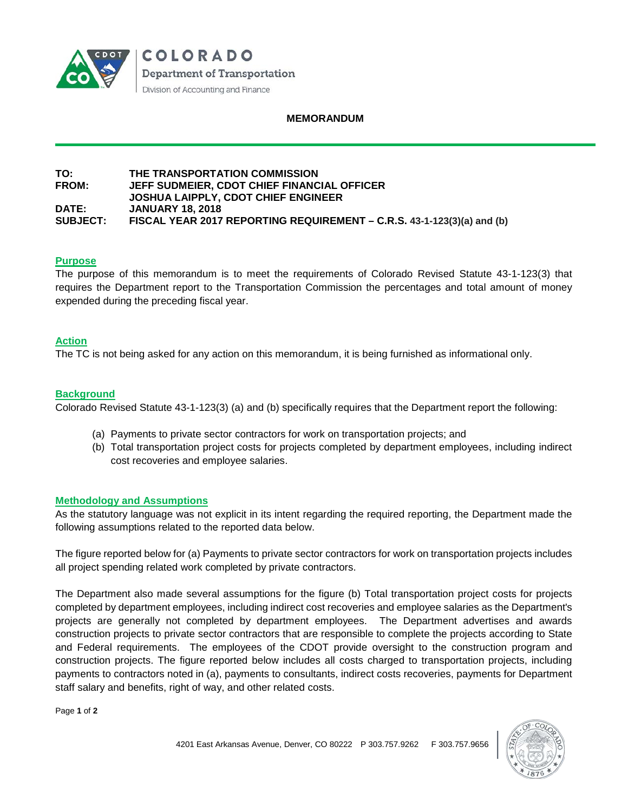

#### **MEMORANDUM**

#### **TO: THE TRANSPORTATION COMMISSION JEFF SUDMEIER, CDOT CHIEF FINANCIAL OFFICER JOSHUA LAIPPLY, CDOT CHIEF ENGINEER DATE: JANUARY 18, 2018 SUBJECT: FISCAL YEAR 2017 REPORTING REQUIREMENT – C.R.S. 43-1-123(3)(a) and (b)**

#### **Purpose**

The purpose of this memorandum is to meet the requirements of Colorado Revised Statute 43-1-123(3) that requires the Department report to the Transportation Commission the percentages and total amount of money expended during the preceding fiscal year.

#### **Action**

The TC is not being asked for any action on this memorandum, it is being furnished as informational only.

#### **Background**

Colorado Revised Statute 43-1-123(3) (a) and (b) specifically requires that the Department report the following:

- (a) Payments to private sector contractors for work on transportation projects; and
- (b) Total transportation project costs for projects completed by department employees, including indirect cost recoveries and employee salaries.

#### **Methodology and Assumptions**

As the statutory language was not explicit in its intent regarding the required reporting, the Department made the following assumptions related to the reported data below.

The figure reported below for (a) Payments to private sector contractors for work on transportation projects includes all project spending related work completed by private contractors.

The Department also made several assumptions for the figure (b) Total transportation project costs for projects completed by department employees, including indirect cost recoveries and employee salaries as the Department's projects are generally not completed by department employees. The Department advertises and awards construction projects to private sector contractors that are responsible to complete the projects according to State and Federal requirements. The employees of the CDOT provide oversight to the construction program and construction projects. The figure reported below includes all costs charged to transportation projects, including payments to contractors noted in (a), payments to consultants, indirect costs recoveries, payments for Department staff salary and benefits, right of way, and other related costs.

Page **1** of **2**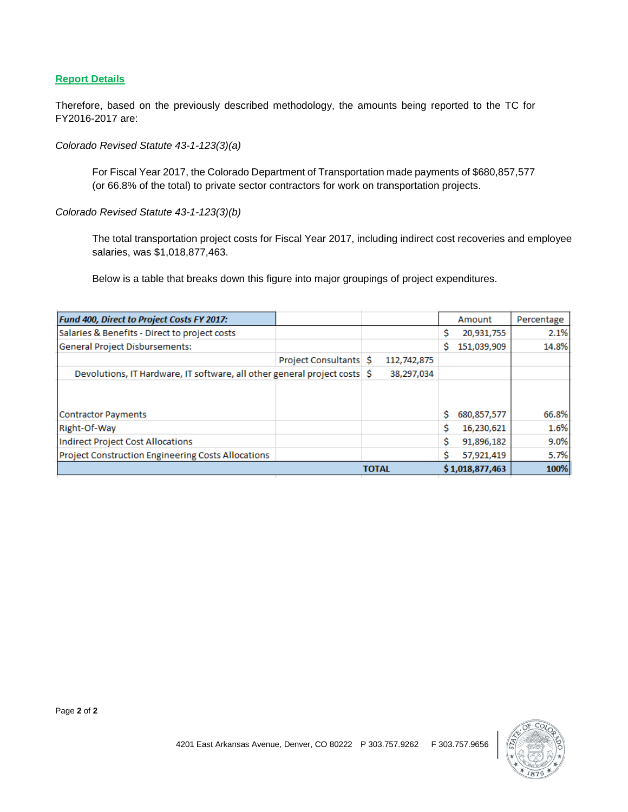## **Report Details**

Therefore, based on the previously described methodology, the amounts being reported to the TC for FY2016-2017 are:

*Colorado Revised Statute 43-1-123(3)(a)* 

For Fiscal Year 2017, the Colorado Department of Transportation made payments of \$680,857,577 (or 66.8% of the total) to private sector contractors for work on transportation projects.

*Colorado Revised Statute 43-1-123(3)(b)* 

The total transportation project costs for Fiscal Year 2017, including indirect cost recoveries and employee salaries, was \$1,018,877,463.

Below is a table that breaks down this figure into major groupings of project expenditures.

| Fund 400, Direct to Project Costs FY 2017:                                |                        |              |             |   | Amount          | Percentage |
|---------------------------------------------------------------------------|------------------------|--------------|-------------|---|-----------------|------------|
| Salaries & Benefits - Direct to project costs                             |                        |              |             | S | 20,931,755      | 2.1%       |
| General Project Disbursements:                                            |                        |              |             | s | 151,039,909     | 14.8%      |
|                                                                           | Project Consultants \$ |              | 112,742,875 |   |                 |            |
| Devolutions, IT Hardware, IT software, all other general project costs \$ |                        |              | 38,297,034  |   |                 |            |
| <b>Contractor Payments</b>                                                |                        |              |             | s | 680,857,577     | 66.8%      |
| Right-Of-Way                                                              |                        |              |             | Ŝ | 16,230,621      | 1.6%       |
| Indirect Project Cost Allocations                                         |                        |              |             | Ŝ | 91,896,182      | 9.0%       |
| Project Construction Engineering Costs Allocations                        |                        |              |             |   | 57,921,419      | 5.7%       |
|                                                                           |                        | <b>TOTAL</b> |             |   | \$1,018,877,463 | 100%       |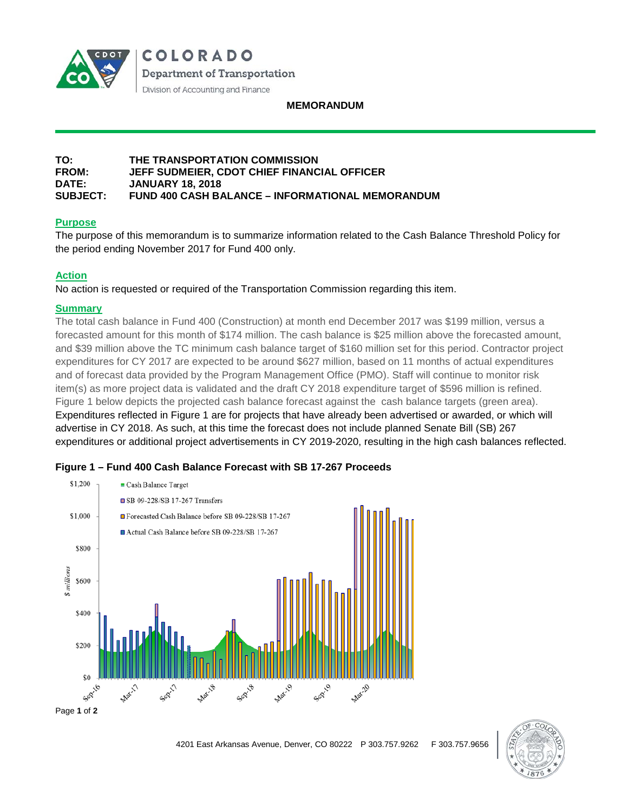

COLORADO Department of Transportation Division of Accounting and Finance

#### **MEMORANDUM**

#### **TO: THE TRANSPORTATION COMMISSION FROM: JEFF SUDMEIER, CDOT CHIEF FINANCIAL OFFICER DATE: JANUARY 18, 2018 SUBJECT: FUND 400 CASH BALANCE – INFORMATIONAL MEMORANDUM**

## **Purpose**

The purpose of this memorandum is to summarize information related to the Cash Balance Threshold Policy for the period ending November 2017 for Fund 400 only.

## **Action**

No action is requested or required of the Transportation Commission regarding this item.

#### **Summary**

The total cash balance in Fund 400 (Construction) at month end December 2017 was \$199 million, versus a forecasted amount for this month of \$174 million. The cash balance is \$25 million above the forecasted amount, and \$39 million above the TC minimum cash balance target of \$160 million set for this period. Contractor project expenditures for CY 2017 are expected to be around \$627 million, based on 11 months of actual expenditures and of forecast data provided by the Program Management Office (PMO). Staff will continue to monitor risk item(s) as more project data is validated and the draft CY 2018 expenditure target of \$596 million is refined. Figure 1 below depicts the projected cash balance forecast against the cash balance targets (green area). Expenditures reflected in Figure 1 are for projects that have already been advertised or awarded, or which will advertise in CY 2018. As such, at this time the forecast does not include planned Senate Bill (SB) 267 expenditures or additional project advertisements in CY 2019-2020, resulting in the high cash balances reflected.





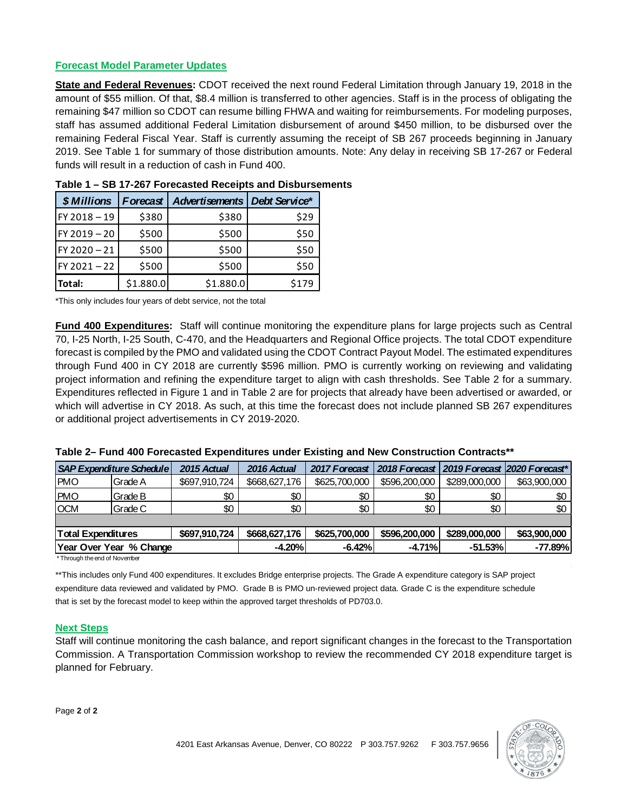## **Forecast Model Parameter Updates**

**State and Federal Revenues:** CDOT received the next round Federal Limitation through January 19, 2018 in the amount of \$55 million. Of that, \$8.4 million is transferred to other agencies. Staff is in the process of obligating the remaining \$47 million so CDOT can resume billing FHWA and waiting for reimbursements. For modeling purposes, staff has assumed additional Federal Limitation disbursement of around \$450 million, to be disbursed over the remaining Federal Fiscal Year. Staff is currently assuming the receipt of SB 267 proceeds beginning in January 2019. See Table 1 for summary of those distribution amounts. Note: Any delay in receiving SB 17-267 or Federal funds will result in a reduction of cash in Fund 400.

| \$ Millions    | <b>Forecast</b> | Advertisements   Debt Service* |       |  |
|----------------|-----------------|--------------------------------|-------|--|
| FY 2018-19     | \$380           | \$380                          | \$29  |  |
| FY 2019 - 20   | \$500           | \$500                          | \$50  |  |
| FY 2020-21     | \$500           | \$500                          | \$50  |  |
| $FY 2021 - 22$ | \$500           | \$500                          | \$50  |  |
| Total:         | \$1.880.0       | \$1.880.0                      | \$179 |  |

**Table 1 – SB 17-267 Forecasted Receipts and Disbursements**

\*This only includes four years of debt service, not the total

**Fund 400 Expenditures:** Staff will continue monitoring the expenditure plans for large projects such as Central 70, I-25 North, I-25 South, C-470, and the Headquarters and Regional Office projects. The total CDOT expenditure forecast is compiled by the PMO and validated using the CDOT Contract Payout Model. The estimated expenditures through Fund 400 in CY 2018 are currently \$596 million. PMO is currently working on reviewing and validating project information and refining the expenditure target to align with cash thresholds. See Table 2 for a summary. Expenditures reflected in Figure 1 and in Table 2 are for projects that already have been advertised or awarded, or which will advertise in CY 2018. As such, at this time the forecast does not include planned SB 267 expenditures or additional project advertisements in CY 2019-2020.

|                           | <b>SAP Expenditure Schedule</b> | 2015 Actual   | 2016 Actual   | 2017 Forecast |               |               | 2018 Forecast   2019 Forecast   2020 Forecast* |
|---------------------------|---------------------------------|---------------|---------------|---------------|---------------|---------------|------------------------------------------------|
| <b>PMO</b>                | Grade A                         | \$697,910,724 | \$668,627,176 | \$625,700,000 | \$596,200,000 | \$289,000,000 | \$63,900,000                                   |
| <b>PMO</b>                | Grade B                         | \$0           | \$0           | \$0           | \$0           | \$0           | \$0                                            |
| <b>OCM</b>                | Grade C                         | \$0           | \$0           | \$0           | \$0           | \$0           | \$0                                            |
|                           |                                 |               |               |               |               |               |                                                |
| <b>Total Expenditures</b> |                                 | \$697,910,724 | \$668,627,176 | \$625,700,000 | \$596,200,000 | \$289,000,000 | \$63,900,000                                   |
|                           | Year Over Year % Change         |               | $-4.20%$      | $-6.42%$      | $-4.71%$      | $-51.53%$     | $-77.89%$                                      |

\* Through the end of November

\*\*This includes only Fund 400 expenditures. It excludes Bridge enterprise projects. The Grade A expenditure category is SAP project expenditure data reviewed and validated by PMO. Grade B is PMO un-reviewed project data. Grade C is the expenditure schedule that is set by the forecast model to keep within the approved target thresholds of PD703.0.

#### **Next Steps**

Staff will continue monitoring the cash balance, and report significant changes in the forecast to the Transportation Commission. A Transportation Commission workshop to review the recommended CY 2018 expenditure target is planned for February.

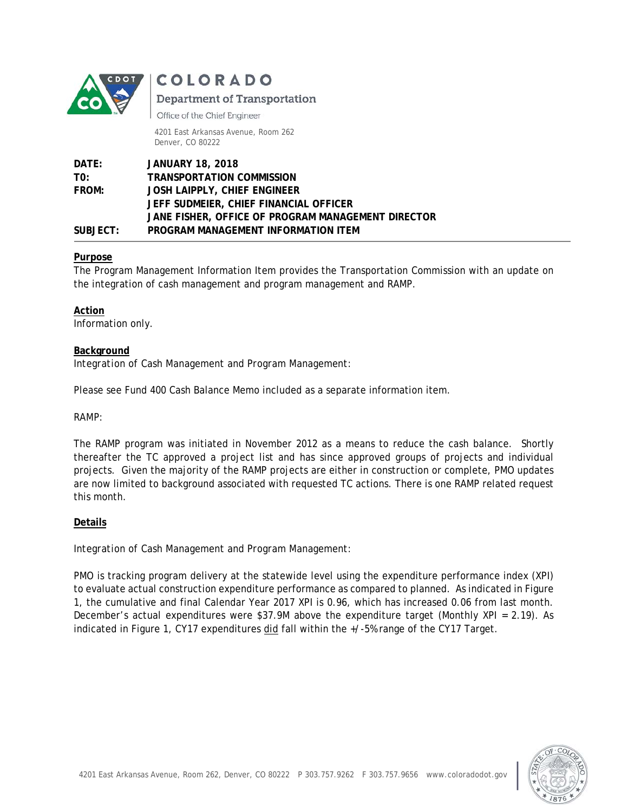

COLORADO

# **Department of Transportation**

Office of the Chief Engineer

4201 East Arkansas Avenue, Room 262 Denver, CO 80222

| DATE:        | <b>JANUARY 18, 2018</b>                            |
|--------------|----------------------------------------------------|
| TO:          | <b>TRANSPORTATION COMMISSION</b>                   |
| <b>FROM:</b> | JOSH LAIPPLY, CHIEF ENGINEER                       |
|              | JEFF SUDMEIER, CHIEF FINANCIAL OFFICER             |
|              | JANE FISHER, OFFICE OF PROGRAM MANAGEMENT DIRECTOR |
| SUBJECT:     | PROGRAM MANAGEMENT INFORMATION ITEM                |

## **Purpose**

The Program Management Information Item provides the Transportation Commission with an update on the integration of cash management and program management and RAMP.

**Action**  Information only.

## **Background**

*Integration of Cash Management and Program Management:* 

Please see Fund 400 Cash Balance Memo included as a separate information item.

## *RAMP:*

The RAMP program was initiated in November 2012 as a means to reduce the cash balance. Shortly thereafter the TC approved a project list and has since approved groups of projects and individual projects. Given the majority of the RAMP projects are either in construction or complete, PMO updates are now limited to background associated with requested TC actions. There is one RAMP related request this month.

## **Details**

## *Integration of Cash Management and Program Management:*

PMO is tracking program delivery at the statewide level using the expenditure performance index (XPI) to evaluate actual construction expenditure performance as compared to planned. As indicated in Figure 1, the cumulative and final Calendar Year 2017 XPI is 0.96, which has increased 0.06 from last month. December's actual expenditures were \$37.9M above the expenditure target (Monthly XPI = 2.19). As indicated in Figure 1, CY17 expenditures did fall within the +/-5% range of the CY17 Target.

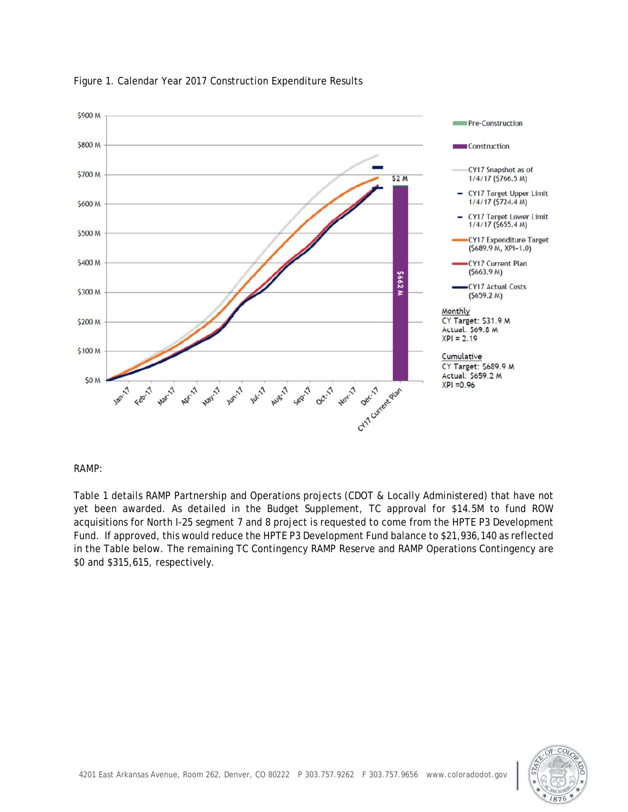

#### Figure 1. Calendar Year 2017 Construction Expenditure Results

#### *RAMP:*

Table 1 details RAMP Partnership and Operations projects (CDOT & Locally Administered) that have not yet been awarded. As detailed in the Budget Supplement, TC approval for \$14.5M to fund ROW acquisitions for North I-25 segment 7 and 8 project is requested to come from the HPTE P3 Development Fund. If approved, this would reduce the HPTE P3 Development Fund balance to \$21,936,140 as reflected in the Table below. The remaining TC Contingency RAMP Reserve and RAMP Operations Contingency are \$0 and \$315,615, respectively.

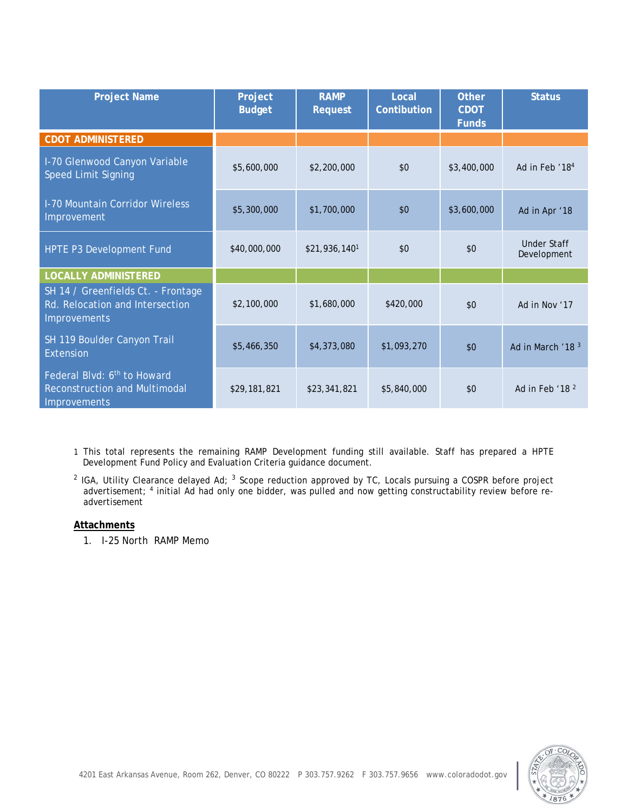| <b>Project Name</b>                                                                                    | Project<br><b>Budget</b> | <b>RAMP</b><br><b>Request</b> | Local<br>Contibution | <b>Other</b><br><b>CDOT</b><br><b>Funds</b> | <b>Status</b>                     |
|--------------------------------------------------------------------------------------------------------|--------------------------|-------------------------------|----------------------|---------------------------------------------|-----------------------------------|
| <b>CDOT ADMINISTERED</b>                                                                               |                          |                               |                      |                                             |                                   |
| I-70 Glenwood Canyon Variable<br><b>Speed Limit Signing</b>                                            | \$5,600,000              | \$2,200,000                   | \$0                  | \$3,400,000                                 | Ad in Feb '18 <sup>4</sup>        |
| <b>I-70 Mountain Corridor Wireless</b><br>Improvement                                                  | \$5,300,000              | \$1,700,000                   | \$0                  | \$3,600,000                                 | Ad in Apr '18                     |
| HPTE P3 Development Fund                                                                               | \$40,000,000             | \$21,936,140 <sup>1</sup>     | \$0                  | \$0                                         | <b>Under Staff</b><br>Development |
| <b>LOCALLY ADMINISTERED</b>                                                                            |                          |                               |                      |                                             |                                   |
| SH 14 / Greenfields Ct. - Frontage<br>Rd. Relocation and Intersection<br><b>Improvements</b>           | \$2,100,000              | \$1,680,000                   | \$420,000            | \$0                                         | Ad in Nov '17                     |
| SH 119 Boulder Canyon Trail<br>Extension                                                               | \$5,466,350              | \$4,373,080                   | \$1,093,270          | \$0                                         | Ad in March '18 <sup>3</sup>      |
| Federal Blvd: 6 <sup>th</sup> to Howard<br><b>Reconstruction and Multimodal</b><br><b>Improvements</b> | \$29,181,821             | \$23,341,821                  | \$5,840,000          | \$0                                         | Ad in Feb '18 <sup>2</sup>        |

1 This total represents the remaining RAMP Development funding still available. Staff has prepared a HPTE Development Fund Policy and Evaluation Criteria guidance document.

<sup>2</sup> IGA, Utility Clearance delayed Ad; <sup>3</sup> Scope reduction approved by TC, Locals pursuing a COSPR before project advertisement; 4 initial Ad had only one bidder, was pulled and now getting constructability review before readvertisement

#### **Attachments**

1. I-25 North RAMP Memo

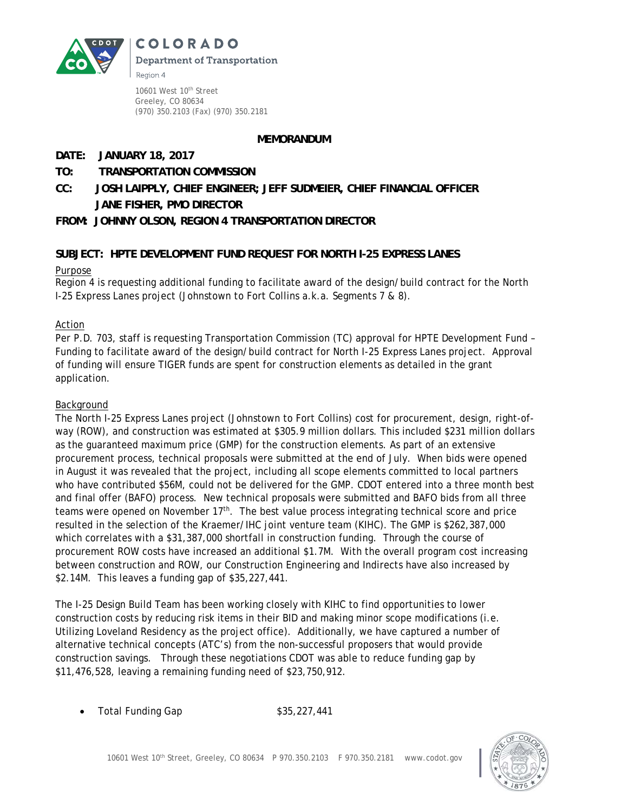**COLORADO** 



**Department of Transportation** Region 4

10601 West 10<sup>th</sup> Street Greeley, CO 80634 (970) 350.2103 (Fax) (970) 350.2181

## **MEMORANDUM**

# **DATE: JANUARY 18, 2017**

# **TO: TRANSPORTATION COMMISSION**

**CC: JOSH LAIPPLY, CHIEF ENGINEER; JEFF SUDMEIER, CHIEF FINANCIAL OFFICER JANE FISHER, PMO DIRECTOR** 

# **FROM: JOHNNY OLSON, REGION 4 TRANSPORTATION DIRECTOR**

# **SUBJECT: HPTE DEVELOPMENT FUND REQUEST FOR NORTH I-25 EXPRESS LANES**

## Purpose

Region 4 is requesting additional funding to facilitate award of the design/build contract for the North I-25 Express Lanes project (Johnstown to Fort Collins a.k.a. Segments 7 & 8).

# Action

Per P.D. 703, staff is requesting Transportation Commission (TC) approval for HPTE Development Fund – Funding to facilitate award of the design/build contract for North I-25 Express Lanes project. Approval of funding will ensure TIGER funds are spent for construction elements as detailed in the grant application.

## Background

The North I-25 Express Lanes project (Johnstown to Fort Collins) cost for procurement, design, right-ofway (ROW), and construction was estimated at \$305.9 million dollars. This included \$231 million dollars as the guaranteed maximum price (GMP) for the construction elements. As part of an extensive procurement process, technical proposals were submitted at the end of July. When bids were opened in August it was revealed that the project, including all scope elements committed to local partners who have contributed \$56M, could not be delivered for the GMP. CDOT entered into a three month best and final offer (BAFO) process. New technical proposals were submitted and BAFO bids from all three teams were opened on November 17th. The best value process integrating technical score and price resulted in the selection of the Kraemer/IHC joint venture team (KIHC). The GMP is \$262,387,000 which correlates with a \$31,387,000 shortfall in construction funding. Through the course of procurement ROW costs have increased an additional \$1.7M. With the overall program cost increasing between construction and ROW, our Construction Engineering and Indirects have also increased by \$2.14M. This leaves a funding gap of \$35,227,441.

The I-25 Design Build Team has been working closely with KIHC to find opportunities to lower construction costs by reducing risk items in their BID and making minor scope modifications (i.e. Utilizing Loveland Residency as the project office). Additionally, we have captured a number of alternative technical concepts (ATC's) from the non-successful proposers that would provide construction savings. Through these negotiations CDOT was able to reduce funding gap by \$11,476,528, leaving a remaining funding need of \$23,750,912.

Total Funding Gap \$35,227,441